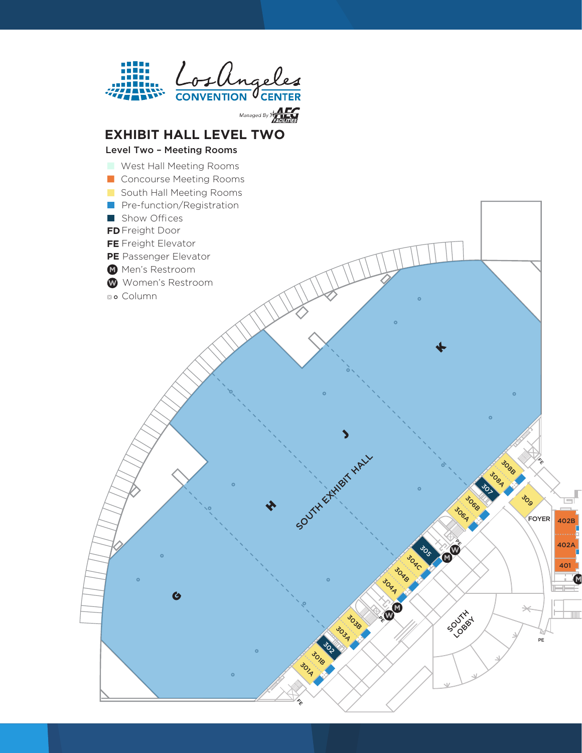

**EXHIBIT HALL LEVEL TWO**

402A

401

402B

SOUTH EXHIBIT HALL Song Song Song Song Song Song

Job

 $\hat{\mathscr{E}}$ 

FOYER

PE

 $\prec$ 

Jogs 308A 50

30<sub>00</sub> Joo<sub>p</sub>

vos

**PE** 

 $\blacklozenge$ 

SOUTH A

**30AA** JOAB **30** 

**PE** 

303B 303A

 $\blacktriangleright$ 

302<br>2021 **3018** 301A

 $\hat{\mathscr{E}}$ 

H

# Level Two – Meeting Rooms

- West Hall Meeting Rooms
- Concourse Meeting Rooms
- South Hall Meeting Rooms
- Pre-function/Registration
- Show Offices
- **FD**Freight Door
- **FE** Freight Elevator
- **PE** Passenger Elevator
- **M** Men's Restroom
- W Women's Restroom

 $\bullet$ 

**Bo** Column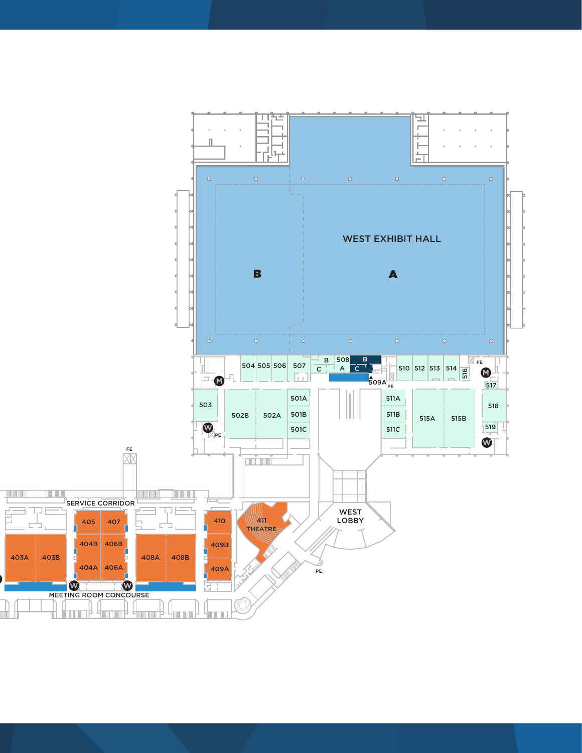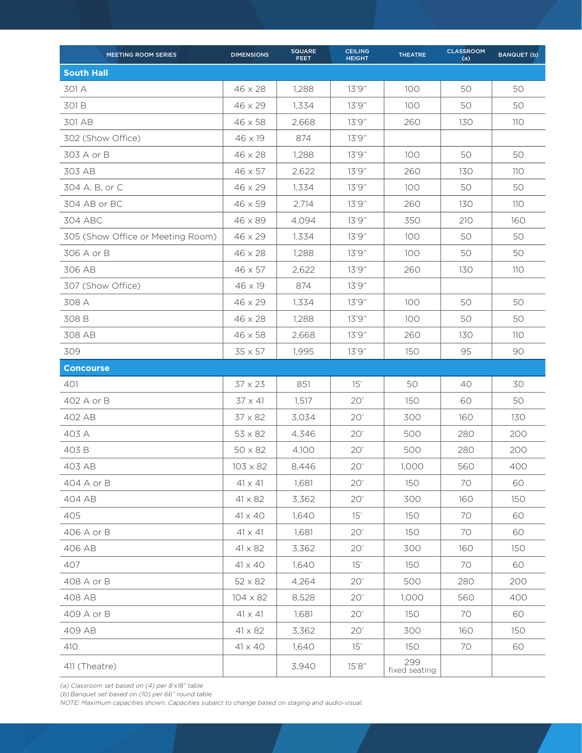| MEETING ROOM SERIES               | <b>DIMENSIONS</b> | <b>SQUARE</b><br><b>FEET</b> | <b>CEILING</b><br><b>HEIGHT</b> | <b>THEATRE</b>       | <b>CLASSROOM</b><br>(a) | <b>BANQUET (b)</b> |
|-----------------------------------|-------------------|------------------------------|---------------------------------|----------------------|-------------------------|--------------------|
| <b>South Hall</b>                 |                   |                              |                                 |                      |                         |                    |
| 301 A                             | 46 x 28           | 1,288                        | 13'9"                           | 100                  | 50                      | 50                 |
| 301 B                             | $46 \times 29$    | 1.334                        | 13'9"                           | 100                  | 50                      | 50                 |
| 301 AB                            | $46 \times 58$    | 2,668                        | 13'9"                           | 260                  | 130                     | 110                |
| 302 (Show Office)                 | 46 x 19           | 874                          | 13'9"                           |                      |                         |                    |
| 303 A or B                        | $46 \times 28$    | 1,288                        | 13'9"                           | 100                  | 50                      | 50                 |
| 303 AB                            | $46 \times 57$    | 2,622                        | 13'9"                           | 260                  | 130                     | 110                |
| 304 A, B, or C                    | $46 \times 29$    | 1,334                        | 13'9''                          | 100                  | 50                      | 50                 |
| 304 AB or BC                      | 46 x 59           | 2,714                        | 13'9''                          | 260                  | 130                     | 110                |
| 304 ABC                           | 46 x 89           | 4,094                        | 13'9"                           | 350                  | 210                     | 160                |
| 305 (Show Office or Meeting Room) | $46 \times 29$    | 1,334                        | 13'9"                           | 100                  | 50                      | 50                 |
| 306 A or B                        | 46 x 28           | 1,288                        | 13'9"                           | 100                  | 50                      | 50                 |
| 306 AB                            | 46 x 57           | 2,622                        | 13'9"                           | 260                  | 130                     | 110                |
| 307 (Show Office)                 | $46 \times 19$    | 874                          | 13'9"                           |                      |                         |                    |
| 308 A                             | $46 \times 29$    | 1,334                        | 13'9"                           | 100                  | 50                      | 50                 |
| 308 B                             | $46 \times 28$    | 1,288                        | 13'9"                           | 100                  | 50                      | 50                 |
| 308 AB                            | $46 \times 58$    | 2,668                        | 13'9"                           | 260                  | 130                     | 110                |
| 309                               | $35 \times 57$    | 1,995                        | 13'9"                           | 150                  | 95                      | 90                 |
| <b>Concourse</b>                  |                   |                              |                                 |                      |                         |                    |
| 401                               | 37 x 23           | 851                          | 15'                             | 50                   | 40                      | 30                 |
| 402 A or B                        | $37 \times 41$    | 1,517                        | 20'                             | 150                  | 60                      | 50                 |
| 402 AB                            | $37 \times 82$    | 3,034                        | 20'                             | 300                  | 160                     | 130                |
| 403 A                             | $53 \times 82$    | 4,346                        | 20'                             | 500                  | 280                     | 200                |
| 403 B                             | $50 \times 82$    | 4,100                        | 20'                             | 500                  | 280                     | 200                |
| 403 AB                            | $103 \times 82$   | 8,446                        | 20'                             | 1,000                | 560                     | 400                |
| 404 A or B                        | $41 \times 41$    | 1,681                        | 20'                             | 150                  | 70                      | 60                 |
| 404 AB                            | 41 x 82           | 3,362                        | 20'                             | 300                  | 160                     | 150                |
| 405                               | $41 \times 40$    | 1,640                        | 15'                             | 150                  | 70                      | 60                 |
| 406 A or B                        | $41 \times 41$    | 1,681                        | 20'                             | 150                  | 70                      | 60                 |
| 406 AB                            | 41 x 82           | 3,362                        | 20'                             | 300                  | 160                     | 150                |
| 407                               | $41 \times 40$    | 1,640                        | 15'                             | 150                  | 70                      | 60                 |
| 408 A or B                        | 52 x 82           | 4,264                        | 20'                             | 500                  | 280                     | 200                |
| 408 AB                            | $104 \times 82$   | 8,528                        | 20'                             | 1,000                | 560                     | 400                |
| 409 A or B                        | $41 \times 41$    | 1,681                        | 20'                             | 150                  | 70                      | 60                 |
| 409 AB                            | 41 x 82           | 3,362                        | 20'                             | 300                  | 160                     | 150                |
| 410                               | 41 x 40           | 1,640                        | 15'                             | 150                  | 70                      | 60                 |
| 411 (Theatre)                     |                   | 3,940                        | 15'8''                          | 299<br>fixed seating |                         |                    |

(a) Classroom set based on (4) per 8'x18" table

(b) Banquet set based on (10) per 66" round table

NOTE: Maximum capacities shown. Capacities subject to change based on staging and audio-visual.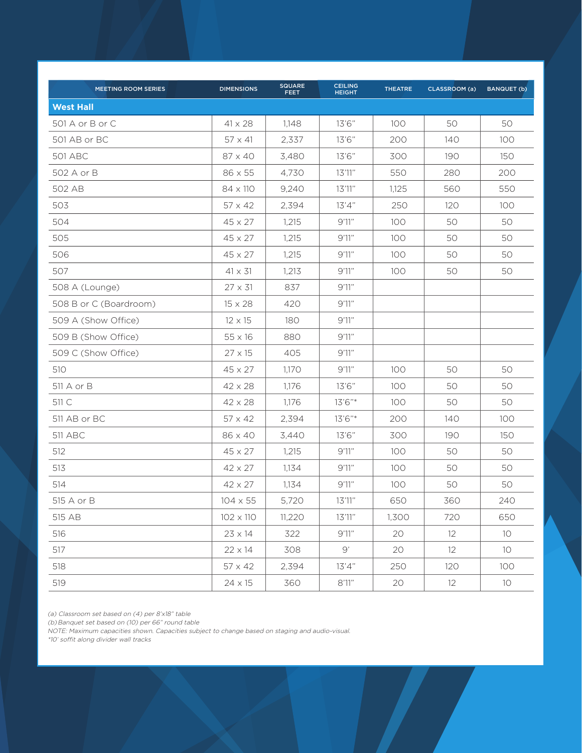| MEETING ROOM SERIES    | <b>DIMENSIONS</b> | <b>SQUARE</b><br><b>FEET</b> | <b>CEILING</b><br><b>HEIGHT</b> | <b>THEATRE</b> | CLASSROOM (a) | <b>BANQUET (b)</b> |
|------------------------|-------------------|------------------------------|---------------------------------|----------------|---------------|--------------------|
| <b>West Hall</b>       |                   |                              |                                 |                |               |                    |
| 501 A or B or C        | $41 \times 28$    | 1,148                        | 13'6''                          | 100            | 50            | 50                 |
| 501 AB or BC           | $57 \times 41$    | 2,337                        | 13'6"                           | 200            | 140           | 100                |
| <b>501 ABC</b>         | $87 \times 40$    | 3,480                        | 13'6''                          | 300            | 190           | 150                |
| 502 A or B             | 86 x 55           | 4.730                        | 13'11''                         | 550            | 280           | 200                |
| 502 AB                 | 84 x 110          | 9,240                        | 13'11''                         | 1,125          | 560           | 550                |
| 503                    | $57 \times 42$    | 2,394                        | 13'4''                          | 250            | 120           | 100                |
| 504                    | $45 \times 27$    | 1,215                        | 9'11''                          | 100            | 50            | 50                 |
| 505                    | $45 \times 27$    | 1,215                        | 9'11''                          | 100            | 50            | 50                 |
| 506                    | $45 \times 27$    | 1,215                        | 9'11''                          | 100            | 50            | 50                 |
| 507                    | $41 \times 31$    | 1,213                        | 9'11''                          | 100            | 50            | 50                 |
| 508 A (Lounge)         | $27 \times 31$    | 837                          | 9'11''                          |                |               |                    |
| 508 B or C (Boardroom) | $15 \times 28$    | 420                          | 9'11''                          |                |               |                    |
| 509 A (Show Office)    | $12 \times 15$    | 180                          | 9'11''                          |                |               |                    |
| 509 B (Show Office)    | $55 \times 16$    | 880                          | 9'11''                          |                |               |                    |
| 509 C (Show Office)    | $27 \times 15$    | 405                          | 9'11''                          |                |               |                    |
| 510                    | $45 \times 27$    | 1,170                        | 9'11''                          | 100            | 50            | 50                 |
| 511 A or B             | $42 \times 28$    | 1,176                        | 13'6''                          | 100            | 50            | 50                 |
| 511 C                  | $42 \times 28$    | 1,176                        | 13'6"*                          | 100            | 50            | 50                 |
| 511 AB or BC           | $57 \times 42$    | 2,394                        | 13'6"*                          | 200            | 140           | 100                |
| <b>511 ABC</b>         | 86 x 40           | 3,440                        | 13'6''                          | 300            | 190           | 150                |
| 512                    | $45 \times 27$    | 1,215                        | 9'11''                          | 100            | 50            | 50                 |
| 513                    | $42 \times 27$    | 1,134                        | 9'11''                          | 100            | 50            | 50                 |
| 514                    | 42 x 27           | 1,134                        | 9'11''                          | 100            | 50            | 50                 |
| 515 A or B             | $104 \times 55$   | 5,720                        | 13'11''                         | 650            | 360           | 240                |
| 515 AB                 | 102 x 110         | 11,220                       | 13'11''                         | 1,300          | 720           | 650                |
| 516                    | $23 \times 14$    | 322                          | 9'1''                           | 20             | 12            | 10 <sup>°</sup>    |
| 517                    | $22 \times 14$    | 308                          | 9'                              | 20             | 12            | 10 <sup>°</sup>    |
| 518                    | $57 \times 42$    | 2,394                        | 13'4''                          | 250            | 120           | 100                |
| 519                    | $24 \times 15$    | 360                          | $8'11''$                        | 20             | 12            | 10                 |

(a) Classroom set based on (4) per 8'x18" table

(b) Banquet set based on (10) per 66" round table

NOTE: Maximum capacities shown. Capacities subject to change based on staging and audio-visual.

\*10' soffit along divider wall tracks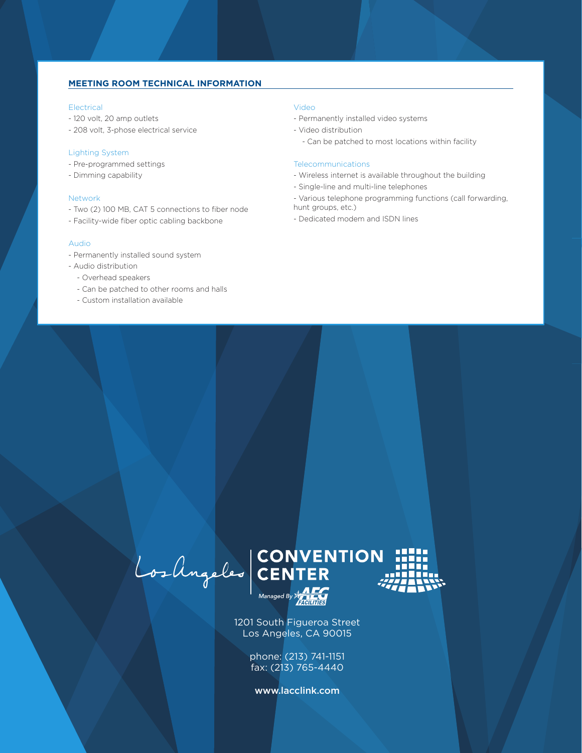## **MEETING ROOM TECHNICAL INFORMATION**

### Electrical

- 120 volt, 20 amp outlets
- 208 volt, 3-phose electrical service

### Lighting System

- Pre-programmed settings
- Dimming capability

### Network

- Two (2) 100 MB, CAT 5 connections to fiber node
- Facility-wide fiber optic cabling backbone

#### Audio

- Permanently installed sound system
- Audio distribution
	- Overhead speakers
	- Can be patched to other rooms and halls
	- Custom installation available

### Video

- Permanently installed video systems
- Video distribution
	- Can be patched to most locations within facility

### **Telecommunications**

- Wireless internet is available throughout the building
- Single-line and multi-line telephones
- Various telephone programming functions (call forwarding, hunt groups, etc.)
- Dedicated modem and ISDN lines

Los Angeles CONVENTION

1201 South Figueroa Street Los Angeles, CA 90015

> phone: (213) 741-1151 fax: (213) 765-4440

www.lacclink.com